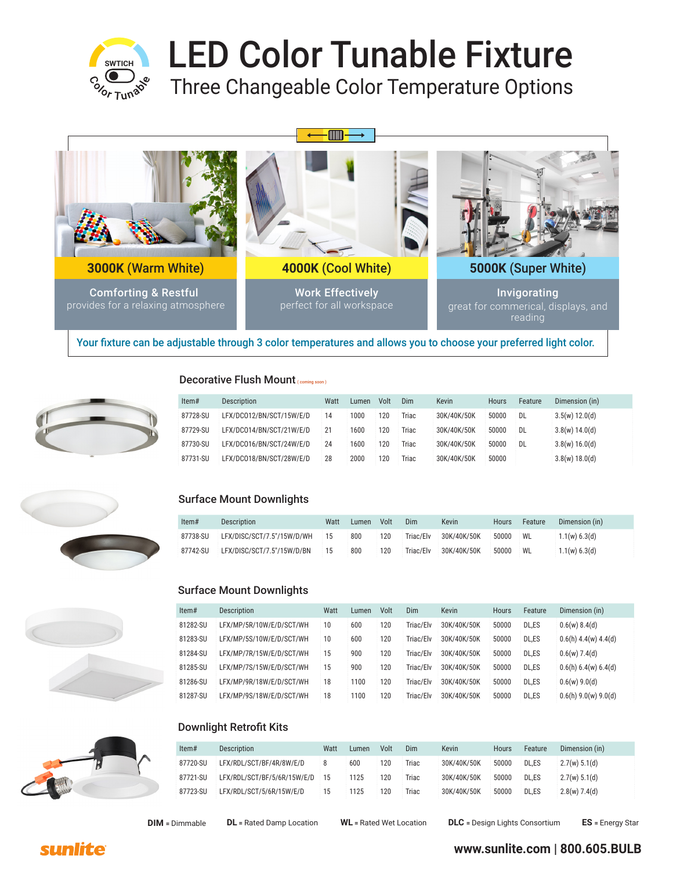

# LED Color Tunable Fixture

Three Changeable Color Temperature Options



Your fixture can be adjustable through 3 color temperatures and allows you to choose your preferred light color.



### Decorative Flush Mount (coming soon)

| Item#    | Description              | Watt | Lumen | Volt | Dim   | <b>Kevin</b> | Hours | Feature   | Dimension (in) |
|----------|--------------------------|------|-------|------|-------|--------------|-------|-----------|----------------|
| 87728-SU | LFX/DC012/BN/SCT/15W/E/D | 14   | 1000  | 120  | Triac | 30K/40K/50K  | 50000 | <b>DL</b> | 3.5(w) 12.0(d) |
| 87729-SU | LFX/DC014/BN/SCT/21W/E/D | 21   | 1600  | 120  | Triac | 30K/40K/50K  | 50000 | <b>DL</b> | 3.8(w) 14.0(d) |
| 87730-SU | LFX/DC016/BN/SCT/24W/E/D | 24   | 1600  | 120  | Triac | 30K/40K/50K  | 50000 | <b>DL</b> | 3.8(w) 16.0(d) |
| 87731-SU | LFX/DC018/BN/SCT/28W/E/D | 28   | 2000  | 120  | Triac | 30K/40K/50K  | 50000 |           | 3.8(w) 18.0(d) |



### Surface Mount Downlights

| Item#    | Description                | Watt | Lumen | Volt | Dim       | Kevin       | Hours | Feature | Dimension (in) |
|----------|----------------------------|------|-------|------|-----------|-------------|-------|---------|----------------|
| 87738-SU | LFX/DISC/SCT/7.5"/15W/D/WH | 15   | 800   | 120  | Triac/Elv | 30K/40K/50K | 50000 | WL      | 1.1(w) 6.3(d)  |
| 87742-SU | LFX/DISC/SCT/7.5"/15W/D/BN | 15   | 800   | 120  | Triac/Elv | 30K/40K/50K | 50000 | WL      | 1.1(w) 6.3(d)  |



| Item#    | <b>Description</b>       | Watt | Lumen | Volt | Dim       | <b>Kevin</b> | <b>Hours</b> | Feature | Dimension (in)         |
|----------|--------------------------|------|-------|------|-----------|--------------|--------------|---------|------------------------|
| 81282-SU | LFX/MP/5R/10W/E/D/SCT/WH | 10   | 600   | 120  | Triac/Elv | 30K/40K/50K  | 50000        | DL.ES   | 0.6(w) 8.4(d)          |
| 81283-SU | LFX/MP/5S/10W/E/D/SCT/WH | 10   | 600   | 120  | Triac/Elv | 30K/40K/50K  | 50000        | DL.ES   | $0.6(h)$ 4.4(w) 4.4(d) |
| 81284-SU | LFX/MP/7R/15W/E/D/SCT/WH | 15   | 900   | 120  | Triac/Elv | 30K/40K/50K  | 50000        | DL.ES   | $0.6(w)$ 7.4(d)        |
| 81285-SU | LFX/MP/7S/15W/E/D/SCT/WH | 15   | 900   | 120  | Triac/Elv | 30K/40K/50K  | 50000        | DL.ES   | 0.6(h) 6.4(w) 6.4(d)   |
| 81286-SU | LFX/MP/9R/18W/E/D/SCT/WH | 18   | 1100  | 120  | Triac/Elv | 30K/40K/50K  | 50000        | DL.ES   | $0.6(w)$ 9.0(d)        |
| 81287-SU | LFX/MP/9S/18W/E/D/SCT/WH | 18   | 1100  | 120  | Triac/Elv | 30K/40K/50K  | 50000        | DL.ES   | $0.6(h)$ 9.0(w) 9.0(d) |

### Downlight Retrofit Kits

| Item#    | Description                 | Watt | Lumen | Volt | Dim   | <b>Kevin</b> | <b>Hours</b> | Feature | Dimension (in)  |
|----------|-----------------------------|------|-------|------|-------|--------------|--------------|---------|-----------------|
| 87720-SU | LFX/RDL/SCT/BF/4R/8W/E/D    |      | 600   | 120  | Triac | 30K/40K/50K  | 50000        | DL.ES   | 2.7(w) 5.1(d)   |
| 87721-SU | LFX/RDL/SCT/BF/5/6R/15W/E/D | 15   | 1125  | 120  | Triac | 30K/40K/50K  | 50000        | DL.ES   | 2.7(w) 5.1(d)   |
| 87723-SU | LFX/RDL/SCT/5/6R/15W/E/D    | 15   | 1125  | 120  | Triac | 30K/40K/50K  | 50000        | DL.ES   | $2.8(w)$ 7.4(d) |



**DIM =** Dimmable **DL =** Rated Damp Location **WL =** Rated Wet Location **DLC =** Design Lights Consortium **ES =** Energy Star

# sunlite

**www.sunlite.com | 800.605.BULB**